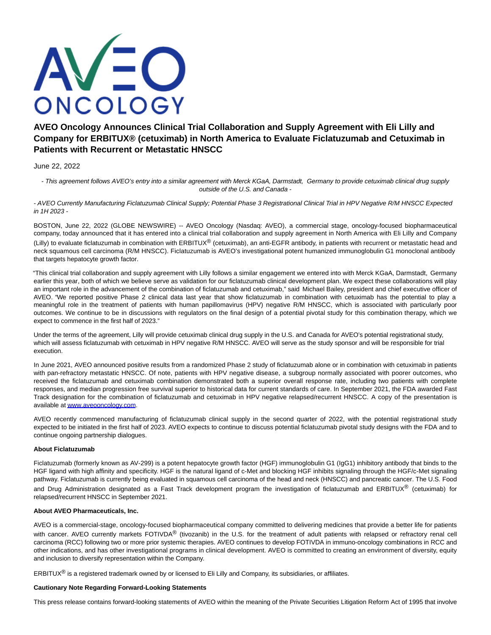

# **AVEO Oncology Announces Clinical Trial Collaboration and Supply Agreement with Eli Lilly and Company for ERBITUX® (cetuximab) in North America to Evaluate Ficlatuzumab and Cetuximab in Patients with Recurrent or Metastatic HNSCC**

## June 22, 2022

- This agreement follows AVEO's entry into a similar agreement with Merck KGaA, Darmstadt, Germany to provide cetuximab clinical drug supply outside of the U.S. and Canada -

- AVEO Currently Manufacturing Ficlatuzumab Clinical Supply; Potential Phase 3 Registrational Clinical Trial in HPV Negative R/M HNSCC Expected in 1H 2023 -

BOSTON, June 22, 2022 (GLOBE NEWSWIRE) -- AVEO Oncology (Nasdaq: AVEO), a commercial stage, oncology-focused biopharmaceutical company, today announced that it has entered into a clinical trial collaboration and supply agreement in North America with Eli Lilly and Company (Lilly) to evaluate ficlatuzumab in combination with ERBITUX® (cetuximab), an anti-EGFR antibody, in patients with recurrent or metastatic head and neck squamous cell carcinoma (R/M HNSCC). Ficlatuzumab is AVEO's investigational potent humanized immunoglobulin G1 monoclonal antibody that targets hepatocyte growth factor.

"This clinical trial collaboration and supply agreement with Lilly follows a similar engagement we entered into with Merck KGaA, Darmstadt, Germany earlier this year, both of which we believe serve as validation for our ficlatuzumab clinical development plan. We expect these collaborations will play an important role in the advancement of the combination of ficlatuzumab and cetuximab," said Michael Bailey, president and chief executive officer of AVEO. "We reported positive Phase 2 clinical data last year that show ficlatuzumab in combination with cetuximab has the potential to play a meaningful role in the treatment of patients with human papillomavirus (HPV) negative R/M HNSCC, which is associated with particularly poor outcomes. We continue to be in discussions with regulators on the final design of a potential pivotal study for this combination therapy, which we expect to commence in the first half of 2023."

Under the terms of the agreement, Lilly will provide cetuximab clinical drug supply in the U.S. and Canada for AVEO's potential registrational study, which will assess ficlatuzumab with cetuximab in HPV negative R/M HNSCC. AVEO will serve as the study sponsor and will be responsible for trial execution.

In June 2021, AVEO announced positive results from a randomized Phase 2 study of ficlatuzumab alone or in combination with cetuximab in patients with pan-refractory metastatic HNSCC. Of note, patients with HPV negative disease, a subgroup normally associated with poorer outcomes, who received the ficlatuzumab and cetuximab combination demonstrated both a superior overall response rate, including two patients with complete responses, and median progression free survival superior to historical data for current standards of care. In September 2021, the FDA awarded Fast Track designation for the combination of ficlatuzumab and cetuximab in HPV negative relapsed/recurrent HNSCC. A copy of the presentation is available a[t www.aveooncology.com.](http://www.aveooncology.com/)

AVEO recently commenced manufacturing of ficlatuzumab clinical supply in the second quarter of 2022, with the potential registrational study expected to be initiated in the first half of 2023. AVEO expects to continue to discuss potential ficlatuzumab pivotal study designs with the FDA and to continue ongoing partnership dialogues.

## **About Ficlatuzumab**

Ficlatuzumab (formerly known as AV-299) is a potent hepatocyte growth factor (HGF) immunoglobulin G1 (IgG1) inhibitory antibody that binds to the HGF ligand with high affinity and specificity. HGF is the natural ligand of c-Met and blocking HGF inhibits signaling through the HGF/c-Met signaling pathway. Ficlatuzumab is currently being evaluated in squamous cell carcinoma of the head and neck (HNSCC) and pancreatic cancer. The U.S. Food and Drug Administration designated as a Fast Track development program the investigation of ficlatuzumab and ERBITUX<sup>®</sup> (cetuximab) for relapsed/recurrent HNSCC in September 2021.

### **About AVEO Pharmaceuticals, Inc.**

AVEO is a commercial-stage, oncology-focused biopharmaceutical company committed to delivering medicines that provide a better life for patients with cancer. AVEO currently markets FOTIVDA<sup>®</sup> (tivozanib) in the U.S. for the treatment of adult patients with relapsed or refractory renal cell carcinoma (RCC) following two or more prior systemic therapies. AVEO continues to develop FOTIVDA in immuno-oncology combinations in RCC and other indications, and has other investigational programs in clinical development. AVEO is committed to creating an environment of diversity, equity and inclusion to diversify representation within the Company.

ERBITUX<sup>®</sup> is a registered trademark owned by or licensed to Eli Lilly and Company, its subsidiaries, or affiliates.

### **Cautionary Note Regarding Forward-Looking Statements**

This press release contains forward-looking statements of AVEO within the meaning of the Private Securities Litigation Reform Act of 1995 that involve